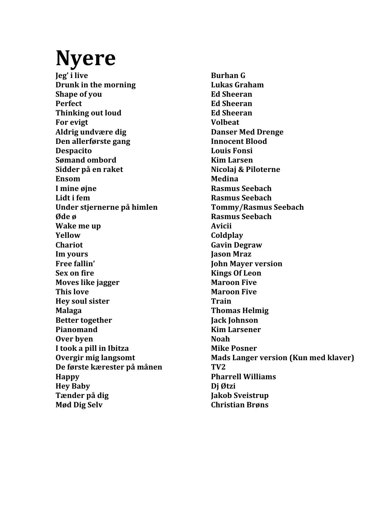### **Nyere**

**Jeg' i** live **Burhan G Drunk** in the morning **Lukas** Graham **Shape of you Ed Sheeran Perfect Ed Sheeran Thinking out loud Ed Sheeran For evigt Volbeat Aldrig undvære dig Danser Med Drenge Den allerførste gang Innocent Blood Despacito Louis Fonsi Sømand ombord Kim Larsen Sidder på en raket Nicolaj & Piloterne Ensom Medina I** mine øjne **Rasmus** Seebach **Lidt** i fem Rasmus Seebach **Under stjernerne på himlen Tommy/Rasmus Seebach** *Øde ø* **Rasmus** Seebach **Wake me up Avicii Yellow Coldplay Chariot Gavin Degraw Im yours Jason Mraz** Free fallin' *John Mayer* version **Sex on fire Kings Of Leon Moves like jagger Maroon Five This love Maroon Five Hey soul sister Train Malaga Thomas Helmig Better together Jack Johnson Pianomand Kim Larsener Over byen Noah I** took a pill in Ibitza **Mike Posner De første kærester på månen TV2 Happy Pharrell Williams Hey Baby Dj Øtzi Tænder på dig Jakob** Sveistrup **Mød Dig Selv Christian Brøns**

**Overgir mig langsomt Mads Langer version (Kun med klaver)**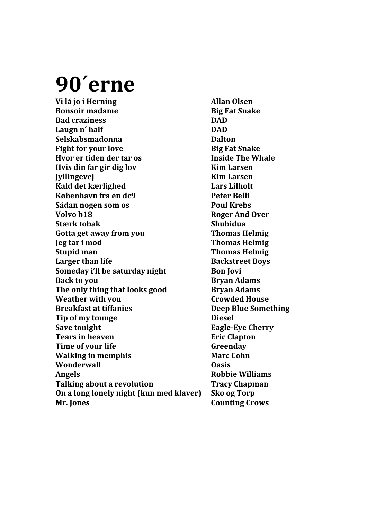## **90´erne**

**Vi** lå jo i Herning **Allan** Olsen **Bonsoir madame Big Fat Snake Bad craziness DAD** Laugn n' half **DAD Selskabsmadonna Dalton Fight for your love Big Fat Snake Hvor er tiden der tar os Inside The Whale Hvis din far gir dig lov Kim Larsen Jyllingevej Kim Larsen Kald det kærlighed Lars Lilholt København fra en dc9 Peter Belli Sådan nogen som os Poul Krebs Volvo** b18 **Roger** And Over **Stærk** tobak<br> **Shubidua** Gotta get away from you **Thomas Helmig Jeg tar i mod Thomas Helmig Stupid man Thomas Helmig Larger than life Backstreet Boys Someday i'll be saturday night Bon Jovi Back to you Bryan Adams The only thing that looks good Bryan Adams Weather with you be a controlled Four-Breakfast at tiffanies Deep Blue Something Tip of my tounge Diesel Save tonight Eagle-Eye Cherry Tears in heaven Eric Clapton Time of your life Server Contact Server Algebra Greenday Walking in memphis Marc Cohn Wonderwall Oasis Angels Robbie Williams Talking about a revolution Tracy Chapman On a long lonely night (kun med klaver)** Sko og Torp **Mr.** Iones **Counting Crows**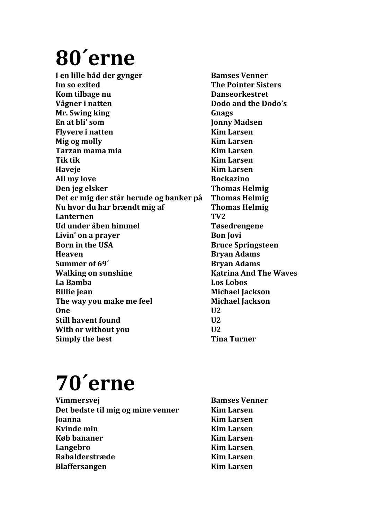# **80´erne**

**I** en lille båd der gynger **Bamses** Venner **Im** so exited **The Pointer Sisters Kom** tilbage nu **business Danseorkestret Vågner i natten Dodo** and the Dodo's **Mr.** Swing king **Gnags En at bli' som**  Jonny Madsen **Flyvere i natten Kim Larsen Mig og molly Kim Larsen Tarzan mama mia Kim Larsen Tik** tik **Kim** Larsen **Haveje Kim Larsen All my love Rockazino Den** jeg elsker **Thomas** Helmig Det er mig der står herude og banker på Thomas Helmig **Nu hvor du har brændt mig af Thomas Helmig Lanternen TV2 Ud under åben himmel Tøsedrengene Livin'** on a prayer **Bon** Jovi **Born in the USA Bruce Springsteen Heaven Bryan Adams Summer of 69<sup>** $\prime$ **</sup> <b>Bryan Adams Walking on sunshine Katrina And The Waves La Bamba Los Lobos Billie** jean **Michael Jackson The way you make me feel Michael Jackson One U2 Still havent found U2 With or without you U2 Simply the best Tima Turner** 

## **70´erne**

- **Vimmersvej Bamses Venner Det bedste til mig og mine venner Kim Larsen Ioanna Kim Larsen Kvinde min Kim Larsen Køb bananer Kim Larsen Langebro Kim Larsen Rabalderstræde Kim Larsen Blaffersangen Kim Larsen**
-